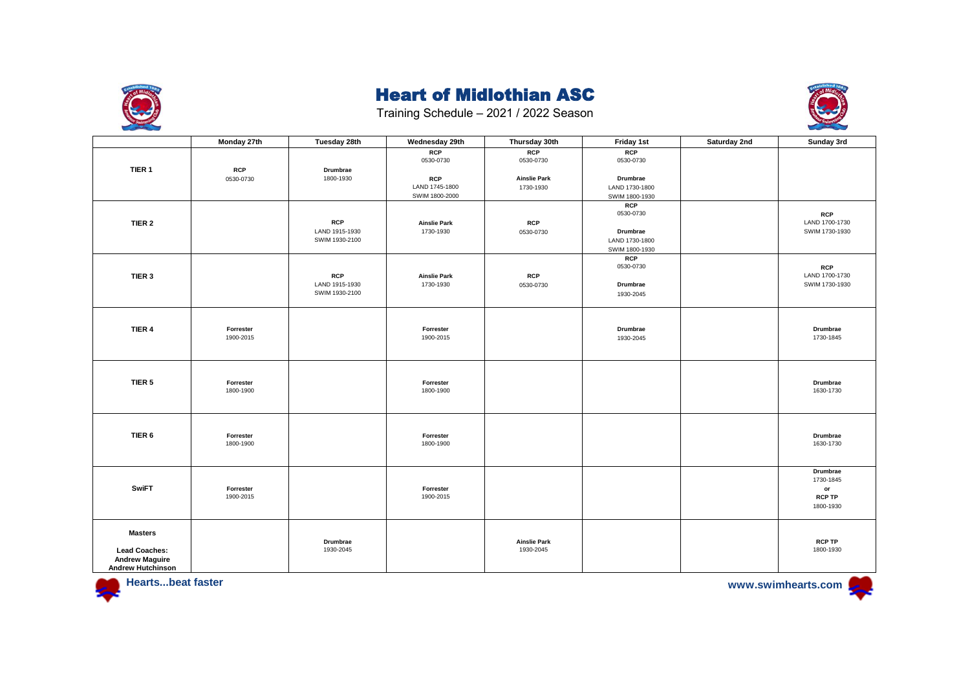



|                          | Monday 27th | Tuesday 28th   | Wednesday 29th                   | Thursday 30th       | Friday 1st              | Saturday 2nd | Sunday 3rd                   |
|--------------------------|-------------|----------------|----------------------------------|---------------------|-------------------------|--------------|------------------------------|
|                          |             |                | RCP                              | RCP                 | RCP                     |              |                              |
|                          |             |                | 0530-0730                        | 0530-0730           | 0530-0730               |              |                              |
| TIER 1                   | <b>RCP</b>  | Drumbrae       |                                  |                     |                         |              |                              |
|                          | 0530-0730   | 1800-1930      | <b>RCP</b>                       | <b>Ainslie Park</b> | Drumbrae                |              |                              |
|                          |             |                | LAND 1745-1800                   | 1730-1930           | LAND 1730-1800          |              |                              |
|                          |             |                | SWIM 1800-2000                   |                     | SWIM 1800-1930          |              |                              |
|                          |             |                |                                  |                     | <b>RCP</b><br>0530-0730 |              |                              |
| TIER <sub>2</sub>        |             | <b>RCP</b>     |                                  | <b>RCP</b>          |                         |              | <b>RCP</b><br>LAND 1700-1730 |
|                          |             | LAND 1915-1930 | <b>Ainslie Park</b><br>1730-1930 | 0530-0730           | Drumbrae                |              | SWIM 1730-1930               |
|                          |             | SWIM 1930-2100 |                                  |                     | LAND 1730-1800          |              |                              |
|                          |             |                |                                  |                     | SWIM 1800-1930          |              |                              |
|                          |             |                |                                  |                     | <b>RCP</b>              |              |                              |
|                          |             |                |                                  |                     | 0530-0730               |              | <b>RCP</b>                   |
| TIER 3                   |             | <b>RCP</b>     | <b>Ainslie Park</b>              | <b>RCP</b>          |                         |              | LAND 1700-1730               |
|                          |             | LAND 1915-1930 | 1730-1930                        | 0530-0730           | Drumbrae                |              | SWIM 1730-1930               |
|                          |             | SWIM 1930-2100 |                                  |                     | 1930-2045               |              |                              |
|                          |             |                |                                  |                     |                         |              |                              |
|                          |             |                |                                  |                     |                         |              |                              |
|                          |             |                |                                  |                     |                         |              |                              |
| TIER 4                   | Forrester   |                | Forrester                        |                     | Drumbrae                |              | Drumbrae                     |
|                          | 1900-2015   |                | 1900-2015                        |                     | 1930-2045               |              | 1730-1845                    |
|                          |             |                |                                  |                     |                         |              |                              |
|                          |             |                |                                  |                     |                         |              |                              |
|                          |             |                |                                  |                     |                         |              |                              |
| TIER <sub>5</sub>        | Forrester   |                | Forrester                        |                     |                         |              | Drumbrae                     |
|                          | 1800-1900   |                | 1800-1900                        |                     |                         |              | 1630-1730                    |
|                          |             |                |                                  |                     |                         |              |                              |
|                          |             |                |                                  |                     |                         |              |                              |
|                          |             |                |                                  |                     |                         |              |                              |
| TIER 6                   | Forrester   |                | Forrester                        |                     |                         |              | Drumbrae                     |
|                          | 1800-1900   |                | 1800-1900                        |                     |                         |              | 1630-1730                    |
|                          |             |                |                                  |                     |                         |              |                              |
|                          |             |                |                                  |                     |                         |              |                              |
|                          |             |                |                                  |                     |                         |              | Drumbrae                     |
|                          |             |                |                                  |                     |                         |              | 1730-1845                    |
| <b>SwiFT</b>             | Forrester   |                | Forrester                        |                     |                         |              | $\mathsf{or}\,$              |
|                          | 1900-2015   |                | 1900-2015                        |                     |                         |              | <b>RCP TP</b>                |
|                          |             |                |                                  |                     |                         |              | 1800-1930                    |
|                          |             |                |                                  |                     |                         |              |                              |
| <b>Masters</b>           |             |                |                                  |                     |                         |              |                              |
|                          |             | Drumbrae       |                                  | <b>Ainslie Park</b> |                         |              | <b>RCP TP</b>                |
| <b>Lead Coaches:</b>     |             | 1930-2045      |                                  | 1930-2045           |                         |              | 1800-1930                    |
| <b>Andrew Maguire</b>    |             |                |                                  |                     |                         |              |                              |
| <b>Andrew Hutchinson</b> |             |                |                                  |                     |                         |              |                              |

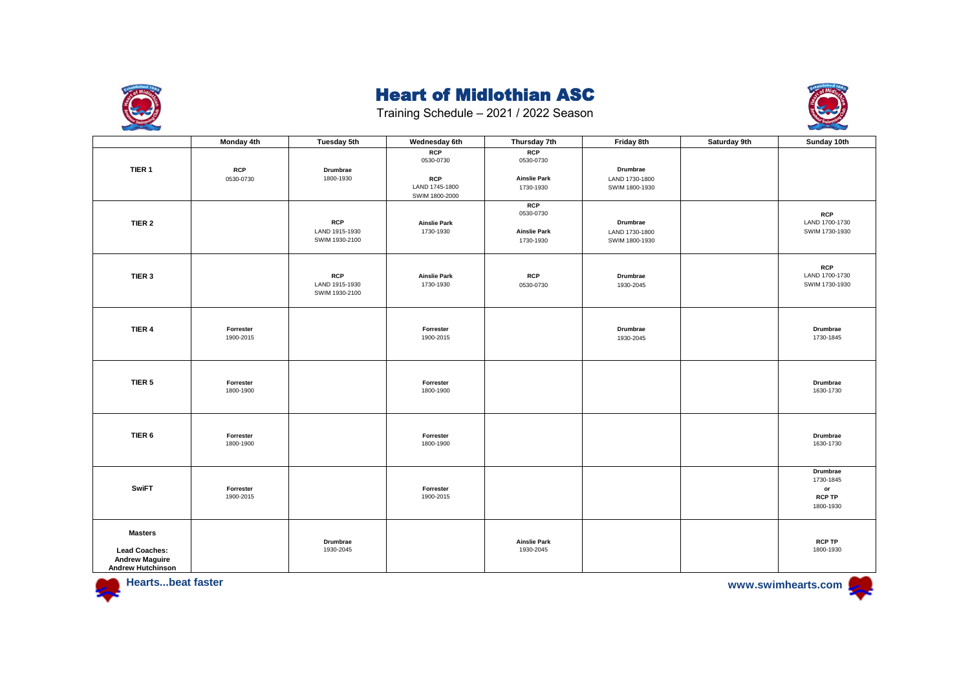



|                                                                                             | Monday 4th              | Tuesday 5th                                    | Wednesday 6th                                                             | Thursday 7th                                         | Friday 8th                                   | Saturday 9th | Sunday 10th                                                            |
|---------------------------------------------------------------------------------------------|-------------------------|------------------------------------------------|---------------------------------------------------------------------------|------------------------------------------------------|----------------------------------------------|--------------|------------------------------------------------------------------------|
| TIER 1                                                                                      | <b>RCP</b><br>0530-0730 | Drumbrae<br>1800-1930                          | <b>RCP</b><br>0530-0730<br><b>RCP</b><br>LAND 1745-1800<br>SWIM 1800-2000 | RCP<br>0530-0730<br><b>Ainslie Park</b><br>1730-1930 | Drumbrae<br>LAND 1730-1800<br>SWIM 1800-1930 |              |                                                                        |
| TIER <sub>2</sub>                                                                           |                         | <b>RCP</b><br>LAND 1915-1930<br>SWIM 1930-2100 | <b>Ainslie Park</b><br>1730-1930                                          | RCP<br>0530-0730<br><b>Ainslie Park</b><br>1730-1930 | Drumbrae<br>LAND 1730-1800<br>SWIM 1800-1930 |              | <b>RCP</b><br>LAND 1700-1730<br>SWIM 1730-1930                         |
| TIER 3                                                                                      |                         | <b>RCP</b><br>LAND 1915-1930<br>SWIM 1930-2100 | <b>Ainslie Park</b><br>1730-1930                                          | <b>RCP</b><br>0530-0730                              | Drumbrae<br>1930-2045                        |              | <b>RCP</b><br>LAND 1700-1730<br>SWIM 1730-1930                         |
| TIER 4                                                                                      | Forrester<br>1900-2015  |                                                | Forrester<br>1900-2015                                                    |                                                      | Drumbrae<br>1930-2045                        |              | Drumbrae<br>1730-1845                                                  |
| TIER <sub>5</sub>                                                                           | Forrester<br>1800-1900  |                                                | Forrester<br>1800-1900                                                    |                                                      |                                              |              | Drumbrae<br>1630-1730                                                  |
| TIER 6                                                                                      | Forrester<br>1800-1900  |                                                | Forrester<br>1800-1900                                                    |                                                      |                                              |              | Drumbrae<br>1630-1730                                                  |
| <b>SwiFT</b>                                                                                | Forrester<br>1900-2015  |                                                | Forrester<br>1900-2015                                                    |                                                      |                                              |              | Drumbrae<br>1730-1845<br>$\mathsf{or}\,$<br><b>RCP TP</b><br>1800-1930 |
| <b>Masters</b><br><b>Lead Coaches:</b><br><b>Andrew Maguire</b><br><b>Andrew Hutchinson</b> |                         | Drumbrae<br>1930-2045                          |                                                                           | <b>Ainslie Park</b><br>1930-2045                     |                                              |              | <b>RCP TP</b><br>1800-1930                                             |



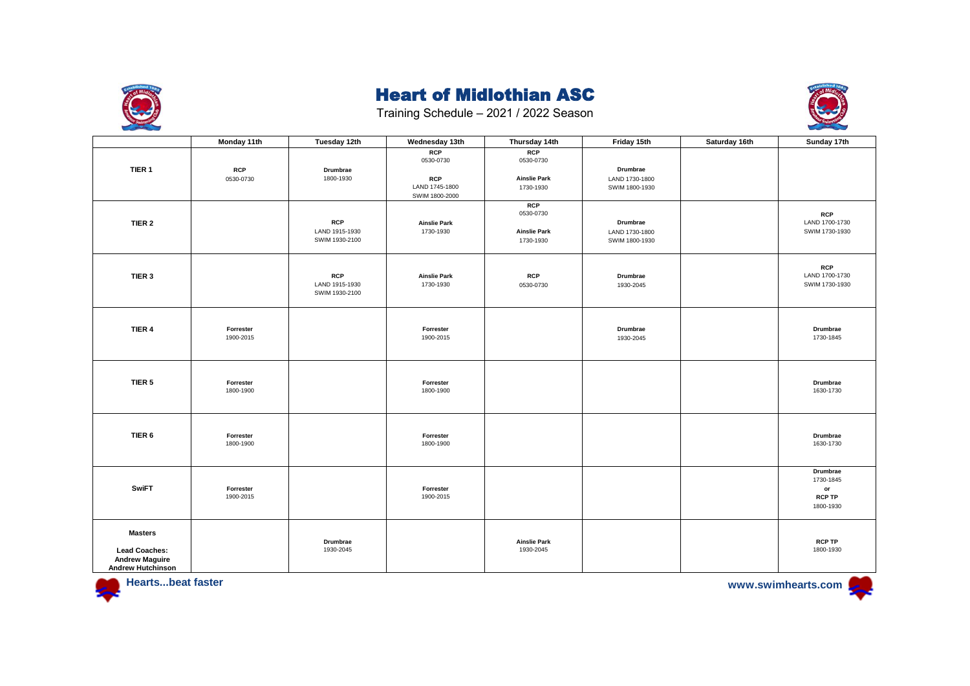



|                                                                                             | Monday 11th             | Tuesday 12th                                   | Wednesday 13th                                                            | Thursday 14th                                               | Friday 15th                                  | Saturday 16th | Sunday 17th                                                            |
|---------------------------------------------------------------------------------------------|-------------------------|------------------------------------------------|---------------------------------------------------------------------------|-------------------------------------------------------------|----------------------------------------------|---------------|------------------------------------------------------------------------|
| TIER 1                                                                                      | <b>RCP</b><br>0530-0730 | Drumbrae<br>1800-1930                          | <b>RCP</b><br>0530-0730<br><b>RCP</b><br>LAND 1745-1800<br>SWIM 1800-2000 | RCP<br>0530-0730<br><b>Ainslie Park</b><br>1730-1930        | Drumbrae<br>LAND 1730-1800<br>SWIM 1800-1930 |               |                                                                        |
| TIER 2                                                                                      |                         | <b>RCP</b><br>LAND 1915-1930<br>SWIM 1930-2100 | <b>Ainslie Park</b><br>1730-1930                                          | <b>RCP</b><br>0530-0730<br><b>Ainslie Park</b><br>1730-1930 | Drumbrae<br>LAND 1730-1800<br>SWIM 1800-1930 |               | <b>RCP</b><br>LAND 1700-1730<br>SWIM 1730-1930                         |
| TIER 3                                                                                      |                         | <b>RCP</b><br>LAND 1915-1930<br>SWIM 1930-2100 | <b>Ainslie Park</b><br>1730-1930                                          | <b>RCP</b><br>0530-0730                                     | Drumbrae<br>1930-2045                        |               | <b>RCP</b><br>LAND 1700-1730<br>SWIM 1730-1930                         |
| TIER 4                                                                                      | Forrester<br>1900-2015  |                                                | Forrester<br>1900-2015                                                    |                                                             | Drumbrae<br>1930-2045                        |               | Drumbrae<br>1730-1845                                                  |
| TIER <sub>5</sub>                                                                           | Forrester<br>1800-1900  |                                                | Forrester<br>1800-1900                                                    |                                                             |                                              |               | Drumbrae<br>1630-1730                                                  |
| TIER 6                                                                                      | Forrester<br>1800-1900  |                                                | Forrester<br>1800-1900                                                    |                                                             |                                              |               | Drumbrae<br>1630-1730                                                  |
| <b>SwiFT</b>                                                                                | Forrester<br>1900-2015  |                                                | Forrester<br>1900-2015                                                    |                                                             |                                              |               | Drumbrae<br>1730-1845<br>$\mathsf{or}\,$<br><b>RCP TP</b><br>1800-1930 |
| <b>Masters</b><br><b>Lead Coaches:</b><br><b>Andrew Maguire</b><br><b>Andrew Hutchinson</b> |                         | Drumbrae<br>1930-2045                          |                                                                           | <b>Ainslie Park</b><br>1930-2045                            |                                              |               | <b>RCP TP</b><br>1800-1930                                             |



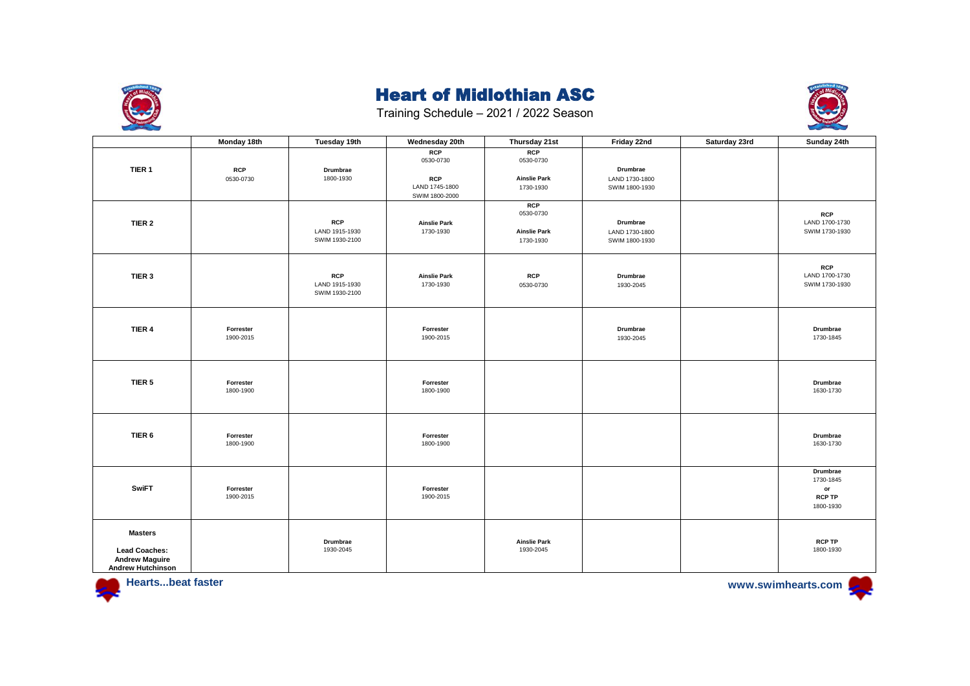



|                                                                                             | Monday 18th             | Tuesday 19th                                   | Wednesday 20th                                                            | Thursday 21st                                               | Friday 22nd                                  | Saturday 23rd | Sunday 24th                                                            |
|---------------------------------------------------------------------------------------------|-------------------------|------------------------------------------------|---------------------------------------------------------------------------|-------------------------------------------------------------|----------------------------------------------|---------------|------------------------------------------------------------------------|
| TIER 1                                                                                      | <b>RCP</b><br>0530-0730 | Drumbrae<br>1800-1930                          | <b>RCP</b><br>0530-0730<br><b>RCP</b><br>LAND 1745-1800<br>SWIM 1800-2000 | RCP<br>0530-0730<br><b>Ainslie Park</b><br>1730-1930        | Drumbrae<br>LAND 1730-1800<br>SWIM 1800-1930 |               |                                                                        |
| TIER <sub>2</sub>                                                                           |                         | <b>RCP</b><br>LAND 1915-1930<br>SWIM 1930-2100 | <b>Ainslie Park</b><br>1730-1930                                          | <b>RCP</b><br>0530-0730<br><b>Ainslie Park</b><br>1730-1930 | Drumbrae<br>LAND 1730-1800<br>SWIM 1800-1930 |               | <b>RCP</b><br>LAND 1700-1730<br>SWIM 1730-1930                         |
| TIER 3                                                                                      |                         | <b>RCP</b><br>LAND 1915-1930<br>SWIM 1930-2100 | <b>Ainslie Park</b><br>1730-1930                                          | <b>RCP</b><br>0530-0730                                     | Drumbrae<br>1930-2045                        |               | <b>RCP</b><br>LAND 1700-1730<br>SWIM 1730-1930                         |
| TIER 4                                                                                      | Forrester<br>1900-2015  |                                                | Forrester<br>1900-2015                                                    |                                                             | Drumbrae<br>1930-2045                        |               | Drumbrae<br>1730-1845                                                  |
| TIER <sub>5</sub>                                                                           | Forrester<br>1800-1900  |                                                | Forrester<br>1800-1900                                                    |                                                             |                                              |               | Drumbrae<br>1630-1730                                                  |
| TIER <sub>6</sub>                                                                           | Forrester<br>1800-1900  |                                                | Forrester<br>1800-1900                                                    |                                                             |                                              |               | Drumbrae<br>1630-1730                                                  |
| <b>SwiFT</b>                                                                                | Forrester<br>1900-2015  |                                                | Forrester<br>1900-2015                                                    |                                                             |                                              |               | Drumbrae<br>1730-1845<br>$\mathsf{or}\,$<br><b>RCP TP</b><br>1800-1930 |
| <b>Masters</b><br><b>Lead Coaches:</b><br><b>Andrew Maguire</b><br><b>Andrew Hutchinson</b> |                         | Drumbrae<br>1930-2045                          |                                                                           | <b>Ainslie Park</b><br>1930-2045                            |                                              |               | <b>RCP TP</b><br>1800-1930                                             |



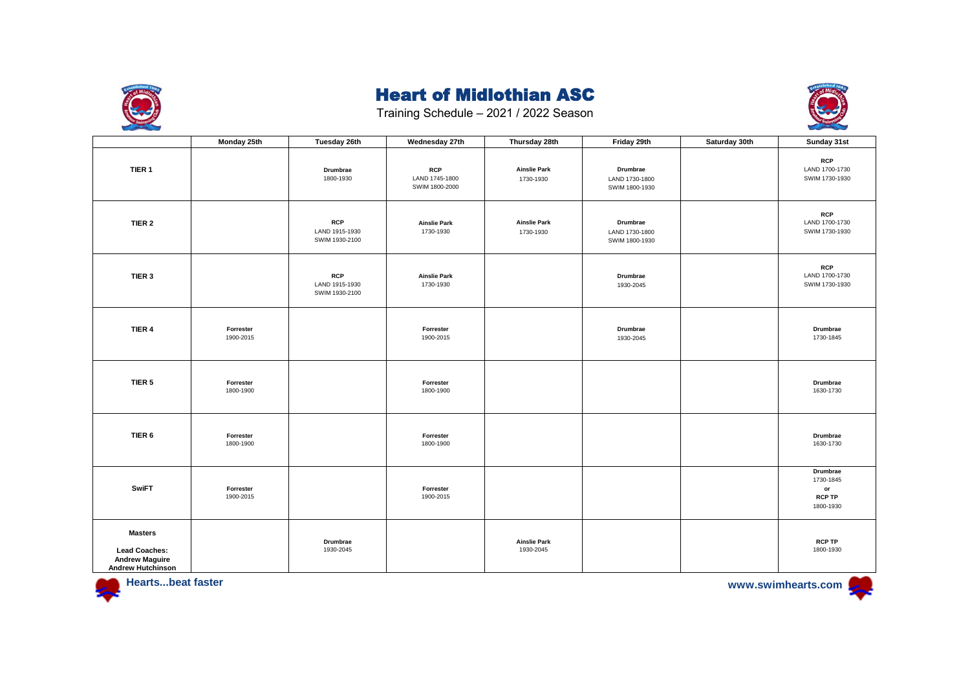



|                                                                                             | Monday 25th            | Tuesday 26th                                   | Wednesday 27th                                 | Thursday 28th                    | Friday 29th                                  | Saturday 30th | Sunday 31st                                               |
|---------------------------------------------------------------------------------------------|------------------------|------------------------------------------------|------------------------------------------------|----------------------------------|----------------------------------------------|---------------|-----------------------------------------------------------|
| TIER <sub>1</sub>                                                                           |                        | Drumbrae<br>1800-1930                          | <b>RCP</b><br>LAND 1745-1800<br>SWIM 1800-2000 | <b>Ainslie Park</b><br>1730-1930 | Drumbrae<br>LAND 1730-1800<br>SWIM 1800-1930 |               | <b>RCP</b><br>LAND 1700-1730<br>SWIM 1730-1930            |
| TIER <sub>2</sub>                                                                           |                        | <b>RCP</b><br>LAND 1915-1930<br>SWIM 1930-2100 | <b>Ainslie Park</b><br>1730-1930               | <b>Ainslie Park</b><br>1730-1930 | Drumbrae<br>LAND 1730-1800<br>SWIM 1800-1930 |               | <b>RCP</b><br>LAND 1700-1730<br>SWIM 1730-1930            |
| TIER 3                                                                                      |                        | <b>RCP</b><br>LAND 1915-1930<br>SWIM 1930-2100 | <b>Ainslie Park</b><br>1730-1930               |                                  | Drumbrae<br>1930-2045                        |               | <b>RCP</b><br>LAND 1700-1730<br>SWIM 1730-1930            |
| TIER 4                                                                                      | Forrester<br>1900-2015 |                                                | Forrester<br>1900-2015                         |                                  | Drumbrae<br>1930-2045                        |               | Drumbrae<br>1730-1845                                     |
| TIER <sub>5</sub>                                                                           | Forrester<br>1800-1900 |                                                | Forrester<br>1800-1900                         |                                  |                                              |               | Drumbrae<br>1630-1730                                     |
| TIER <sub>6</sub>                                                                           | Forrester<br>1800-1900 |                                                | Forrester<br>1800-1900                         |                                  |                                              |               | Drumbrae<br>1630-1730                                     |
| <b>SwiFT</b>                                                                                | Forrester<br>1900-2015 |                                                | Forrester<br>1900-2015                         |                                  |                                              |               | Drumbrae<br>1730-1845<br>or<br><b>RCP TP</b><br>1800-1930 |
| <b>Masters</b><br><b>Lead Coaches:</b><br><b>Andrew Maguire</b><br><b>Andrew Hutchinson</b> |                        | Drumbrae<br>1930-2045                          |                                                | <b>Ainslie Park</b><br>1930-2045 |                                              |               | <b>RCP TP</b><br>1800-1930                                |



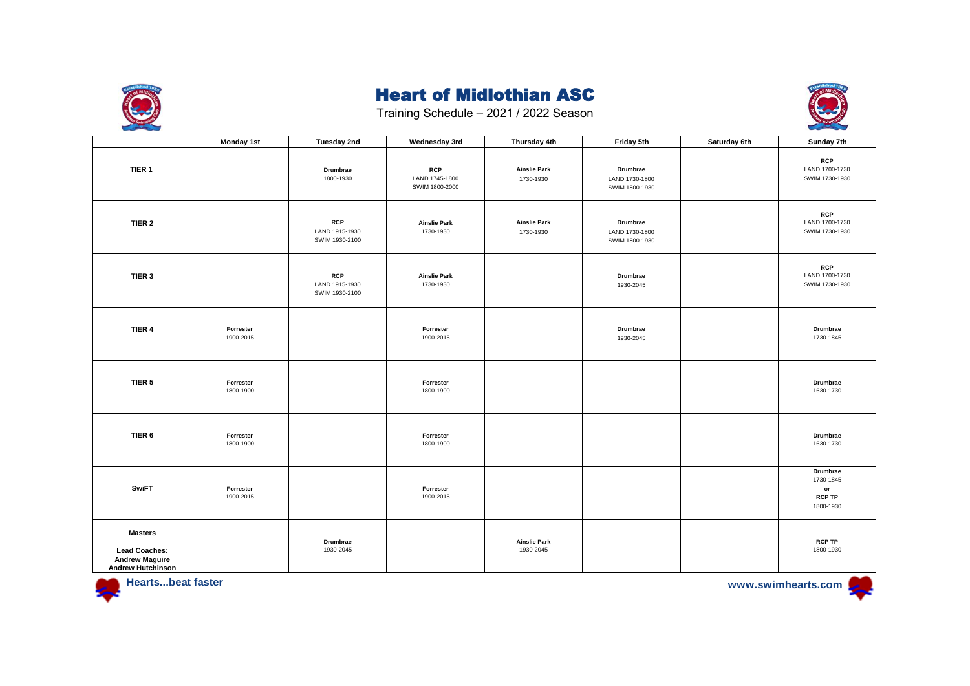



|                                                                                             | <b>Monday 1st</b>      | Tuesday 2nd                                    | Wednesday 3rd                                  | Thursday 4th                     | Friday 5th                                   | Saturday 6th | Sunday 7th                                                |
|---------------------------------------------------------------------------------------------|------------------------|------------------------------------------------|------------------------------------------------|----------------------------------|----------------------------------------------|--------------|-----------------------------------------------------------|
| TIER 1                                                                                      |                        | Drumbrae<br>1800-1930                          | <b>RCP</b><br>LAND 1745-1800<br>SWIM 1800-2000 | <b>Ainslie Park</b><br>1730-1930 | Drumbrae<br>LAND 1730-1800<br>SWIM 1800-1930 |              | <b>RCP</b><br>LAND 1700-1730<br>SWIM 1730-1930            |
| TIER <sub>2</sub>                                                                           |                        | <b>RCP</b><br>LAND 1915-1930<br>SWIM 1930-2100 | <b>Ainslie Park</b><br>1730-1930               | <b>Ainslie Park</b><br>1730-1930 | Drumbrae<br>LAND 1730-1800<br>SWIM 1800-1930 |              | <b>RCP</b><br>LAND 1700-1730<br>SWIM 1730-1930            |
| TIER 3                                                                                      |                        | <b>RCP</b><br>LAND 1915-1930<br>SWIM 1930-2100 | <b>Ainslie Park</b><br>1730-1930               |                                  | Drumbrae<br>1930-2045                        |              | <b>RCP</b><br>LAND 1700-1730<br>SWIM 1730-1930            |
| TIER 4                                                                                      | Forrester<br>1900-2015 |                                                | Forrester<br>1900-2015                         |                                  | Drumbrae<br>1930-2045                        |              | Drumbrae<br>1730-1845                                     |
| TIER <sub>5</sub>                                                                           | Forrester<br>1800-1900 |                                                | Forrester<br>1800-1900                         |                                  |                                              |              | Drumbrae<br>1630-1730                                     |
| TIER 6                                                                                      | Forrester<br>1800-1900 |                                                | Forrester<br>1800-1900                         |                                  |                                              |              | Drumbrae<br>1630-1730                                     |
| <b>SwiFT</b>                                                                                | Forrester<br>1900-2015 |                                                | Forrester<br>1900-2015                         |                                  |                                              |              | Drumbrae<br>1730-1845<br>or<br><b>RCP TP</b><br>1800-1930 |
| <b>Masters</b><br><b>Lead Coaches:</b><br><b>Andrew Maguire</b><br><b>Andrew Hutchinson</b> |                        | Drumbrae<br>1930-2045                          |                                                | <b>Ainslie Park</b><br>1930-2045 |                                              |              | <b>RCP TP</b><br>1800-1930                                |